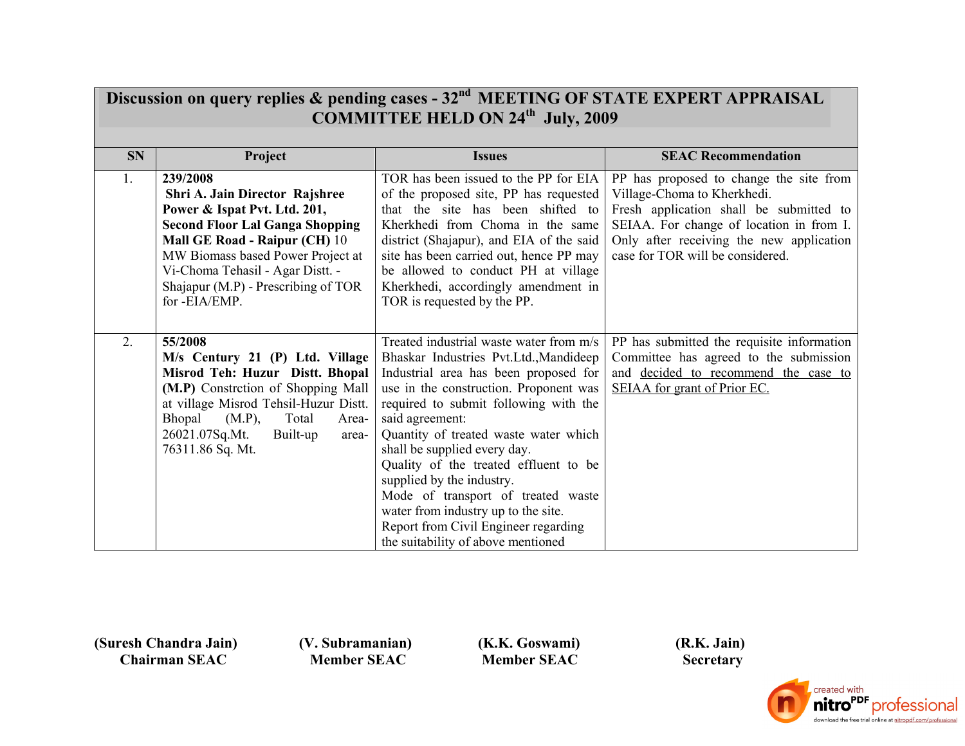| Discussion on query replies & pending cases - 32 <sup>nd</sup> MEETING OF STATE EXPERT APPRAISAL<br><b>COMMITTEE HELD ON 24th July, 2009</b> |                                                                                                                                                                                                                                                                                        |                                                                                                                                                                                                                                                                                                                                                                                                                                                                                                                                            |                                                                                                                                                                                                                                               |  |  |  |
|----------------------------------------------------------------------------------------------------------------------------------------------|----------------------------------------------------------------------------------------------------------------------------------------------------------------------------------------------------------------------------------------------------------------------------------------|--------------------------------------------------------------------------------------------------------------------------------------------------------------------------------------------------------------------------------------------------------------------------------------------------------------------------------------------------------------------------------------------------------------------------------------------------------------------------------------------------------------------------------------------|-----------------------------------------------------------------------------------------------------------------------------------------------------------------------------------------------------------------------------------------------|--|--|--|
|                                                                                                                                              |                                                                                                                                                                                                                                                                                        |                                                                                                                                                                                                                                                                                                                                                                                                                                                                                                                                            |                                                                                                                                                                                                                                               |  |  |  |
| <b>SN</b>                                                                                                                                    | Project                                                                                                                                                                                                                                                                                | <b>Issues</b>                                                                                                                                                                                                                                                                                                                                                                                                                                                                                                                              | <b>SEAC Recommendation</b>                                                                                                                                                                                                                    |  |  |  |
| 1.                                                                                                                                           | 239/2008<br>Shri A. Jain Director Rajshree<br>Power & Ispat Pvt. Ltd. 201,<br><b>Second Floor Lal Ganga Shopping</b><br>Mall GE Road - Raipur (CH) 10<br>MW Biomass based Power Project at<br>Vi-Choma Tehasil - Agar Distt. -<br>Shajapur (M.P) - Prescribing of TOR<br>for -EIA/EMP. | TOR has been issued to the PP for EIA<br>of the proposed site, PP has requested<br>that the site has been shifted to<br>Kherkhedi from Choma in the same<br>district (Shajapur), and EIA of the said<br>site has been carried out, hence PP may<br>be allowed to conduct PH at village<br>Kherkhedi, accordingly amendment in<br>TOR is requested by the PP.                                                                                                                                                                               | PP has proposed to change the site from<br>Village-Choma to Kherkhedi.<br>Fresh application shall be submitted to<br>SEIAA. For change of location in from I.<br>Only after receiving the new application<br>case for TOR will be considered. |  |  |  |
| 2.                                                                                                                                           | 55/2008<br>M/s Century 21 (P) Ltd. Village<br>Misrod Teh: Huzur Distt. Bhopal<br>(M.P) Constrction of Shopping Mall<br>at village Misrod Tehsil-Huzur Distt.<br>Bhopal<br>Total<br>(M.P),<br>Area-<br>26021.07Sq.Mt.<br>Built-up<br>area-<br>76311.86 Sq. Mt.                          | Treated industrial waste water from m/s<br>Bhaskar Industries Pvt.Ltd., Mandideep<br>Industrial area has been proposed for<br>use in the construction. Proponent was<br>required to submit following with the<br>said agreement:<br>Quantity of treated waste water which<br>shall be supplied every day.<br>Quality of the treated effluent to be<br>supplied by the industry.<br>Mode of transport of treated waste<br>water from industry up to the site.<br>Report from Civil Engineer regarding<br>the suitability of above mentioned | PP has submitted the requisite information<br>Committee has agreed to the submission<br>and decided to recommend the case to<br>SEIAA for grant of Prior EC.                                                                                  |  |  |  |

 **(V. Subramanian) Member SEAC**

 **(K.K. Goswami) Member SEAC**

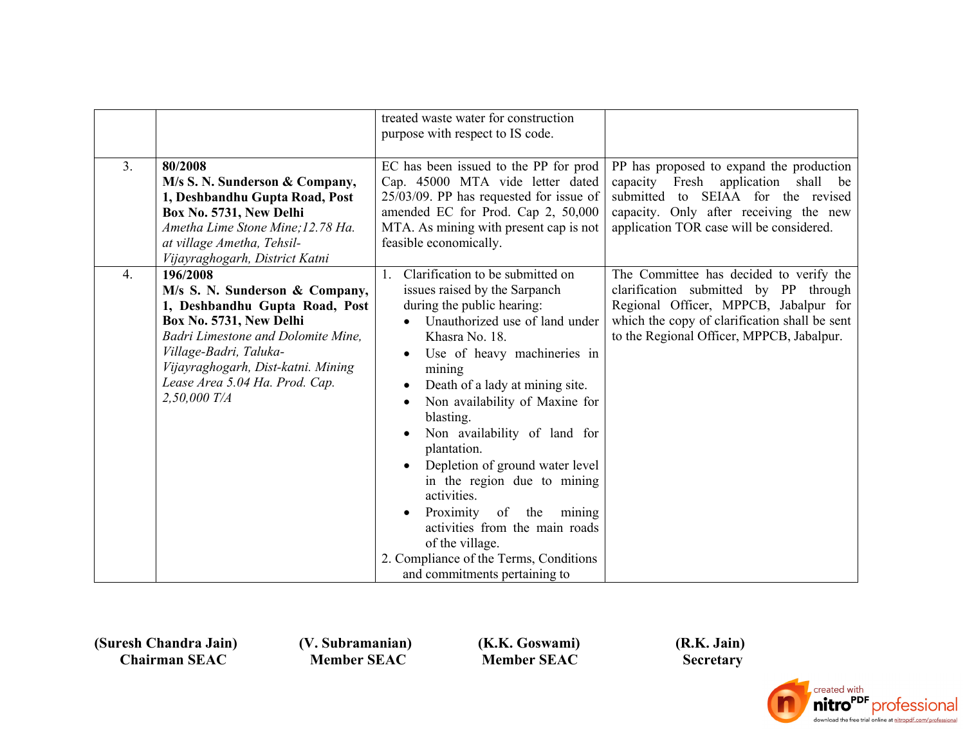|    |                                                                                                                                                                                                                                                                   | treated waste water for construction<br>purpose with respect to IS code.                                                                                                                                                                                                                                                                                                                                                                                                                                                                                                                                                                                 |                                                                                                                                                                                                                         |
|----|-------------------------------------------------------------------------------------------------------------------------------------------------------------------------------------------------------------------------------------------------------------------|----------------------------------------------------------------------------------------------------------------------------------------------------------------------------------------------------------------------------------------------------------------------------------------------------------------------------------------------------------------------------------------------------------------------------------------------------------------------------------------------------------------------------------------------------------------------------------------------------------------------------------------------------------|-------------------------------------------------------------------------------------------------------------------------------------------------------------------------------------------------------------------------|
| 3. | 80/2008<br>M/s S. N. Sunderson & Company,<br>1, Deshbandhu Gupta Road, Post<br>Box No. 5731, New Delhi<br>Ametha Lime Stone Mine; 12.78 Ha.<br>at village Ametha, Tehsil-<br>Vijayraghogarh, District Katni                                                       | EC has been issued to the PP for prod<br>Cap. 45000 MTA vide letter dated<br>25/03/09. PP has requested for issue of<br>amended EC for Prod. Cap 2, 50,000<br>MTA. As mining with present cap is not<br>feasible economically.                                                                                                                                                                                                                                                                                                                                                                                                                           | PP has proposed to expand the production<br>capacity Fresh application shall<br>be<br>submitted to SEIAA for the revised<br>capacity. Only after receiving the new<br>application TOR case will be considered.          |
| 4. | 196/2008<br>M/s S. N. Sunderson & Company,<br>1, Deshbandhu Gupta Road, Post<br>Box No. 5731, New Delhi<br>Badri Limestone and Dolomite Mine,<br>Village-Badri, Taluka-<br>Vijayraghogarh, Dist-katni. Mining<br>Lease Area 5.04 Ha. Prod. Cap.<br>$2,50,000$ T/A | Clarification to be submitted on<br>$\mathbf{1}$ .<br>issues raised by the Sarpanch<br>during the public hearing:<br>Unauthorized use of land under<br>Khasra No. 18.<br>Use of heavy machineries in<br>$\bullet$<br>mining<br>Death of a lady at mining site.<br>$\bullet$<br>Non availability of Maxine for<br>$\bullet$<br>blasting.<br>Non availability of land for<br>plantation.<br>Depletion of ground water level<br>$\bullet$<br>in the region due to mining<br>activities.<br>Proximity<br>of<br>the<br>mining<br>activities from the main roads<br>of the village.<br>2. Compliance of the Terms, Conditions<br>and commitments pertaining to | The Committee has decided to verify the<br>clarification submitted by PP through<br>Regional Officer, MPPCB, Jabalpur for<br>which the copy of clarification shall be sent<br>to the Regional Officer, MPPCB, Jabalpur. |

 **(V. Subramanian) Member SEAC**

 **(K.K. Goswami) Member SEAC**

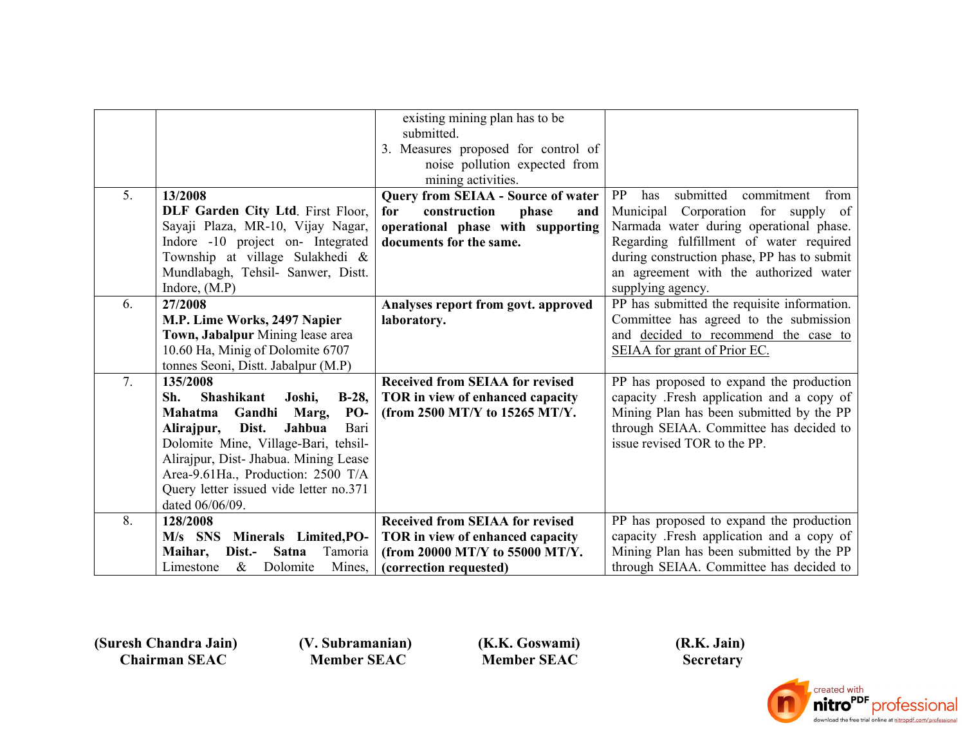|    |                                                | existing mining plan has to be            |                                              |
|----|------------------------------------------------|-------------------------------------------|----------------------------------------------|
|    |                                                | submitted.                                |                                              |
|    |                                                | 3. Measures proposed for control of       |                                              |
|    |                                                | noise pollution expected from             |                                              |
|    |                                                | mining activities.                        |                                              |
| 5. | 13/2008                                        | <b>Query from SEIAA - Source of water</b> | PP<br>submitted<br>commitment<br>has<br>from |
|    | DLF Garden City Ltd. First Floor,              | construction<br>for<br>phase<br>and       | Municipal Corporation for supply of          |
|    | Sayaji Plaza, MR-10, Vijay Nagar,              | operational phase with supporting         | Narmada water during operational phase.      |
|    | Indore -10 project on- Integrated              | documents for the same.                   | Regarding fulfillment of water required      |
|    | Township at village Sulakhedi &                |                                           | during construction phase, PP has to submit  |
|    | Mundlabagh, Tehsil- Sanwer, Distt.             |                                           | an agreement with the authorized water       |
|    | Indore, $(M.P)$                                |                                           | supplying agency.                            |
| 6. | 27/2008                                        | Analyses report from govt. approved       | PP has submitted the requisite information.  |
|    | M.P. Lime Works, 2497 Napier                   | laboratory.                               | Committee has agreed to the submission       |
|    | Town, Jabalpur Mining lease area               |                                           | and decided to recommend the case to         |
|    | 10.60 Ha, Minig of Dolomite 6707               |                                           | SEIAA for grant of Prior EC.                 |
|    | tonnes Seoni, Distt. Jabalpur (M.P)            |                                           |                                              |
| 7. | 135/2008                                       | <b>Received from SEIAA for revised</b>    | PP has proposed to expand the production     |
|    | <b>Shashikant</b><br>Joshi,<br>$B-28$ ,<br>Sh. | TOR in view of enhanced capacity          | capacity .Fresh application and a copy of    |
|    | Gandhi<br>PO-<br>Mahatma<br>Marg,              | (from 2500 MT/Y to 15265 MT/Y.            | Mining Plan has been submitted by the PP     |
|    | Bari<br>Dist.<br>Jahbua<br>Alirajpur,          |                                           | through SEIAA. Committee has decided to      |
|    | Dolomite Mine, Village-Bari, tehsil-           |                                           | issue revised TOR to the PP.                 |
|    | Alirajpur, Dist- Jhabua. Mining Lease          |                                           |                                              |
|    | Area-9.61Ha., Production: 2500 T/A             |                                           |                                              |
|    | Query letter issued vide letter no.371         |                                           |                                              |
|    | dated 06/06/09.                                |                                           |                                              |
| 8. | 128/2008                                       | <b>Received from SEIAA for revised</b>    | PP has proposed to expand the production     |
|    | $M/s$ SNS<br>Minerals Limited, PO-             | TOR in view of enhanced capacity          | capacity .Fresh application and a copy of    |
|    | <b>Satna</b><br>Tamoria<br>Maihar,<br>Dist.-   | (from 20000 MT/Y to 55000 MT/Y.           | Mining Plan has been submitted by the PP     |
|    | $\&$<br>Dolomite<br>Mines,<br>Limestone        | (correction requested)                    | through SEIAA. Committee has decided to      |

 **(V. Subramanian) Member SEAC**

 **(K.K. Goswami) Member SEAC**

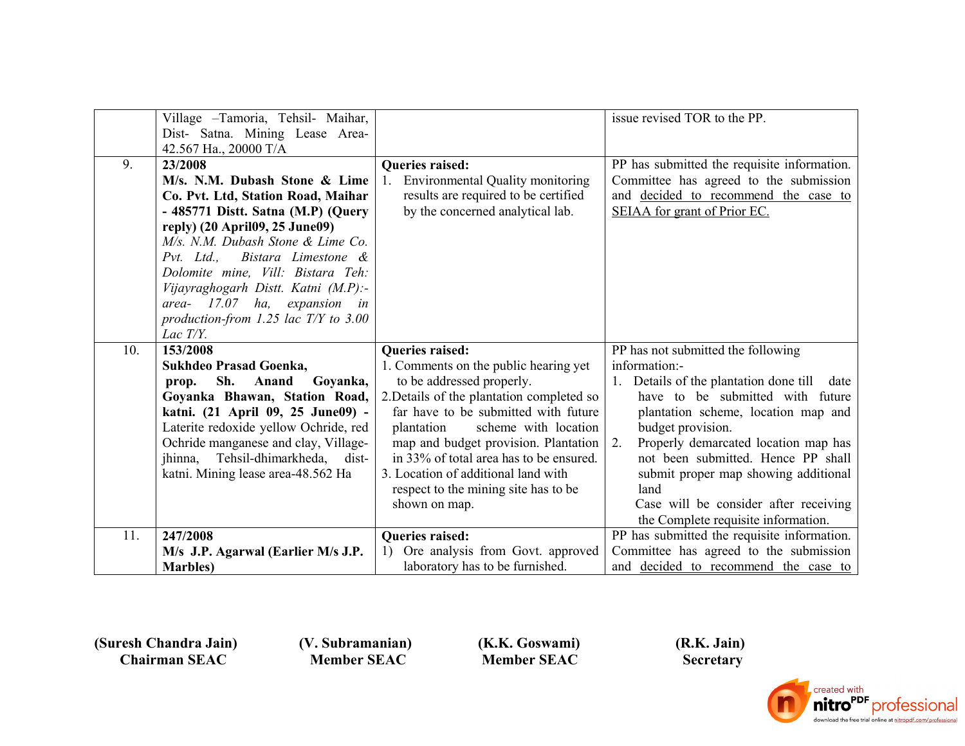|     | Village - Tamoria, Tehsil- Maihar,      |                                                           | issue revised TOR to the PP.                |
|-----|-----------------------------------------|-----------------------------------------------------------|---------------------------------------------|
|     | Dist- Satna. Mining Lease Area-         |                                                           |                                             |
|     | 42.567 Ha., 20000 T/A                   |                                                           |                                             |
| 9.  | 23/2008                                 | <b>Oueries raised:</b>                                    | PP has submitted the requisite information. |
|     | M/s. N.M. Dubash Stone & Lime           | <b>Environmental Quality monitoring</b><br>$\mathbf{1}$ . | Committee has agreed to the submission      |
|     | Co. Pvt. Ltd, Station Road, Maihar      | results are required to be certified                      | and decided to recommend the case to        |
|     | - 485771 Distt. Satna (M.P) (Query      | by the concerned analytical lab.                          | SEIAA for grant of Prior EC.                |
|     | reply) (20 April09, 25 June09)          |                                                           |                                             |
|     | M/s. N.M. Dubash Stone & Lime Co.       |                                                           |                                             |
|     | Bistara Limestone &<br>$Pvt.$ Ltd.,     |                                                           |                                             |
|     | Dolomite mine, Vill: Bistara Teh:       |                                                           |                                             |
|     | Vijayraghogarh Distt. Katni (M.P):-     |                                                           |                                             |
|     | area- $17.07$ ha, expansion in          |                                                           |                                             |
|     | production-from 1.25 lac $T/Y$ to 3.00  |                                                           |                                             |
|     | Lac $T/Y$ .                             |                                                           |                                             |
|     |                                         |                                                           |                                             |
| 10. | 153/2008                                | <b>Queries raised:</b>                                    | PP has not submitted the following          |
|     | Sukhdeo Prasad Goenka,                  | 1. Comments on the public hearing yet                     | information:-                               |
|     | Goyanka,<br>Sh.<br>Anand<br>prop.       | to be addressed properly.                                 | Details of the plantation done till<br>date |
|     | Goyanka Bhawan, Station Road,           | 2. Details of the plantation completed so                 | have to be submitted with future            |
|     | katni. (21 April 09, 25 June09) -       | far have to be submitted with future                      | plantation scheme, location map and         |
|     | Laterite redoxide yellow Ochride, red   | plantation<br>scheme with location                        | budget provision.                           |
|     | Ochride manganese and clay, Village-    | map and budget provision. Plantation                      | Properly demarcated location map has<br>2.  |
|     | Tehsil-dhimarkheda,<br>jhinna,<br>dist- | in 33% of total area has to be ensured.                   | not been submitted. Hence PP shall          |
|     | katni. Mining lease area-48.562 Ha      | 3. Location of additional land with                       | submit proper map showing additional        |
|     |                                         | respect to the mining site has to be                      | land                                        |
|     |                                         | shown on map.                                             | Case will be consider after receiving       |
|     |                                         |                                                           | the Complete requisite information.         |
| 11. | 247/2008                                | <b>Queries raised:</b>                                    | PP has submitted the requisite information. |
|     | M/s J.P. Agarwal (Earlier M/s J.P.      | Ore analysis from Govt. approved<br>1)                    | Committee has agreed to the submission      |

 **(V. Subramanian) Member SEAC**

 **(K.K. Goswami) Member SEAC**

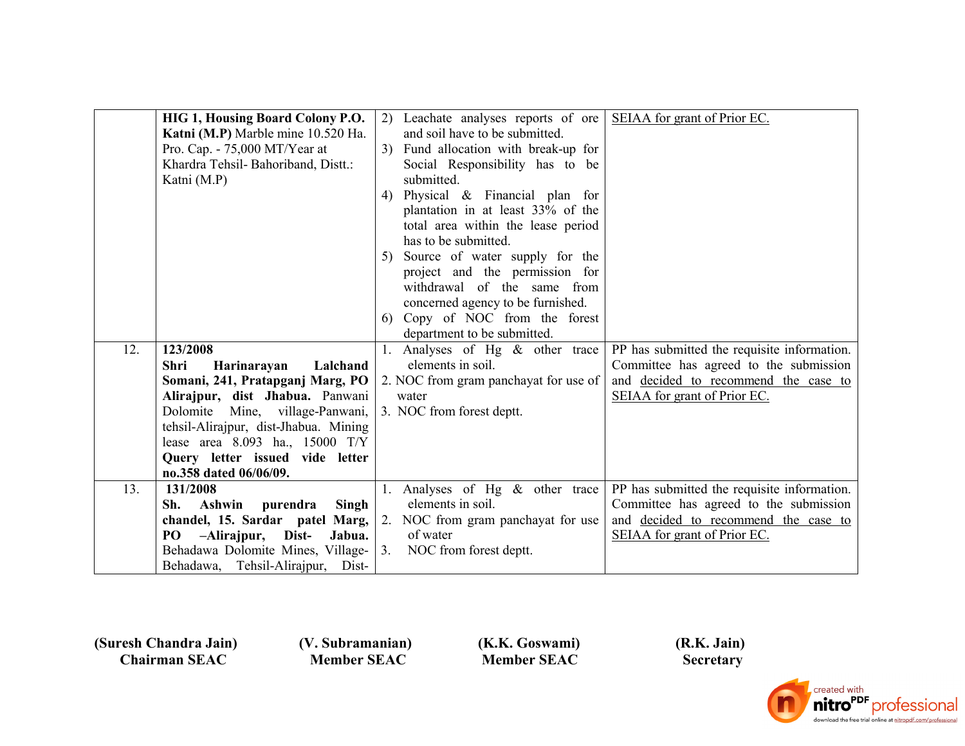|     | HIG 1, Housing Board Colony P.O.      | 2) Leachate analyses reports of ore    | SEIAA for grant of Prior EC.                |
|-----|---------------------------------------|----------------------------------------|---------------------------------------------|
|     | Katni (M.P) Marble mine 10.520 Ha.    | and soil have to be submitted.         |                                             |
|     | Pro. Cap. - $75,000$ MT/Year at       | 3) Fund allocation with break-up for   |                                             |
|     | Khardra Tehsil- Bahoriband, Distt.:   | Social Responsibility has to be        |                                             |
|     | Katni (M.P)                           | submitted.                             |                                             |
|     |                                       | Physical $\&$ Financial plan for<br>4) |                                             |
|     |                                       | plantation in at least 33% of the      |                                             |
|     |                                       | total area within the lease period     |                                             |
|     |                                       | has to be submitted.                   |                                             |
|     |                                       | Source of water supply for the<br>5)   |                                             |
|     |                                       | project and the permission for         |                                             |
|     |                                       | withdrawal of the same from            |                                             |
|     |                                       | concerned agency to be furnished.      |                                             |
|     |                                       | 6) Copy of NOC from the forest         |                                             |
|     |                                       | department to be submitted.            |                                             |
| 12. | 123/2008                              | 1. Analyses of Hg $\&$ other trace     | PP has submitted the requisite information. |
|     | Lalchand<br>Harinarayan<br>Shri       | elements in soil.                      | Committee has agreed to the submission      |
|     |                                       |                                        |                                             |
|     | Somani, 241, Pratapganj Marg, PO      | 2. NOC from gram panchayat for use of  | and decided to recommend the case to        |
|     | Alirajpur, dist Jhabua. Panwani       | water                                  | SEIAA for grant of Prior EC.                |
|     | Dolomite Mine, village-Panwani,       | 3. NOC from forest deptt.              |                                             |
|     | tehsil-Alirajpur, dist-Jhabua. Mining |                                        |                                             |
|     | lease area 8.093 ha., 15000 T/Y       |                                        |                                             |
|     | Query letter issued vide letter       |                                        |                                             |
|     | no.358 dated 06/06/09.                |                                        |                                             |
| 13. | 131/2008                              | 1. Analyses of Hg & other trace        | PP has submitted the requisite information. |
|     | Ashwin purendra<br>Singh<br>Sh.       | elements in soil.                      | Committee has agreed to the submission      |
|     | chandel, 15. Sardar patel Marg,       | 2. NOC from gram panchayat for use     | and decided to recommend the case to        |
|     | PO<br>-Alirajpur, Dist-<br>Jabua.     | of water                               | SEIAA for grant of Prior EC.                |
|     | Behadawa Dolomite Mines, Village-     | 3.<br>NOC from forest deptt.           |                                             |
|     | Behadawa, Tehsil-Alirajpur, Dist-     |                                        |                                             |

 **(V. Subramanian) Member SEAC**

 **(K.K. Goswami) Member SEAC**

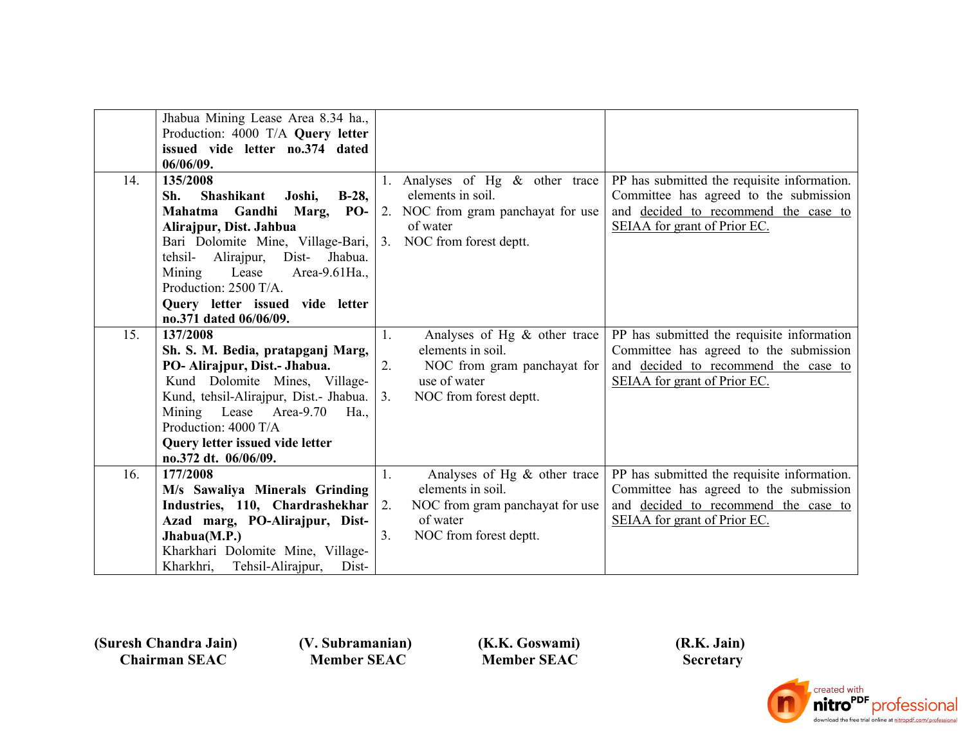|     | Jhabua Mining Lease Area 8.34 ha.,<br>Production: 4000 T/A Query letter<br>issued vide letter no.374 dated<br>06/06/09.                                                                                                                                                                                                       |                                                                                                                                                             |                                                                                                                                                               |
|-----|-------------------------------------------------------------------------------------------------------------------------------------------------------------------------------------------------------------------------------------------------------------------------------------------------------------------------------|-------------------------------------------------------------------------------------------------------------------------------------------------------------|---------------------------------------------------------------------------------------------------------------------------------------------------------------|
| 14. | 135/2008<br><b>Shashikant</b><br>$B-28$ ,<br>Sh.<br>Joshi,<br>Mahatma Gandhi Marg, PO-<br>Alirajpur, Dist. Jahbua<br>Bari Dolomite Mine, Village-Bari,<br>Alirajpur,<br>Jhabua.<br>tehsil-<br>Dist-<br>Mining<br>Lease<br>Area-9.61Ha.,<br>Production: 2500 T/A.<br>Query letter issued vide letter<br>no.371 dated 06/06/09. | 1. Analyses of Hg $\&$ other trace<br>elements in soil.<br>2. NOC from gram panchayat for use<br>of water<br>3. NOC from forest deptt.                      | PP has submitted the requisite information.<br>Committee has agreed to the submission<br>and decided to recommend the case to<br>SEIAA for grant of Prior EC. |
| 15. | 137/2008<br>Sh. S. M. Bedia, pratapganj Marg,<br>PO- Alirajpur, Dist.- Jhabua.<br>Kund Dolomite Mines, Village-<br>Kund, tehsil-Alirajpur, Dist.- Jhabua.<br>Mining Lease Area-9.70<br>$Ha_{\cdot}$<br>Production: 4000 T/A<br>Query letter issued vide letter<br>no.372 dt. 06/06/09.                                        | Analyses of Hg $\&$ other trace<br>1.<br>elements in soil.<br>NOC from gram panchayat for<br>2.<br>use of water<br>NOC from forest deptt.<br>3.             | PP has submitted the requisite information<br>Committee has agreed to the submission<br>and decided to recommend the case to<br>SEIAA for grant of Prior EC.  |
| 16. | 177/2008<br>M/s Sawaliya Minerals Grinding<br>Industries, 110, Chardrashekhar<br>Azad marg, PO-Alirajpur, Dist-<br>Jhabua(M.P.)<br>Kharkhari Dolomite Mine, Village-<br>Kharkhri, Tehsil-Alirajpur,<br>Dist-                                                                                                                  | Analyses of Hg $\&$ other trace<br>1.<br>elements in soil.<br>NOC from gram panchayat for use<br>2.<br>of water<br>NOC from forest deptt.<br>3 <sub>1</sub> | PP has submitted the requisite information.<br>Committee has agreed to the submission<br>and decided to recommend the case to<br>SEIAA for grant of Prior EC. |

 **(V. Subramanian) Member SEAC**

 **(K.K. Goswami) Member SEAC**

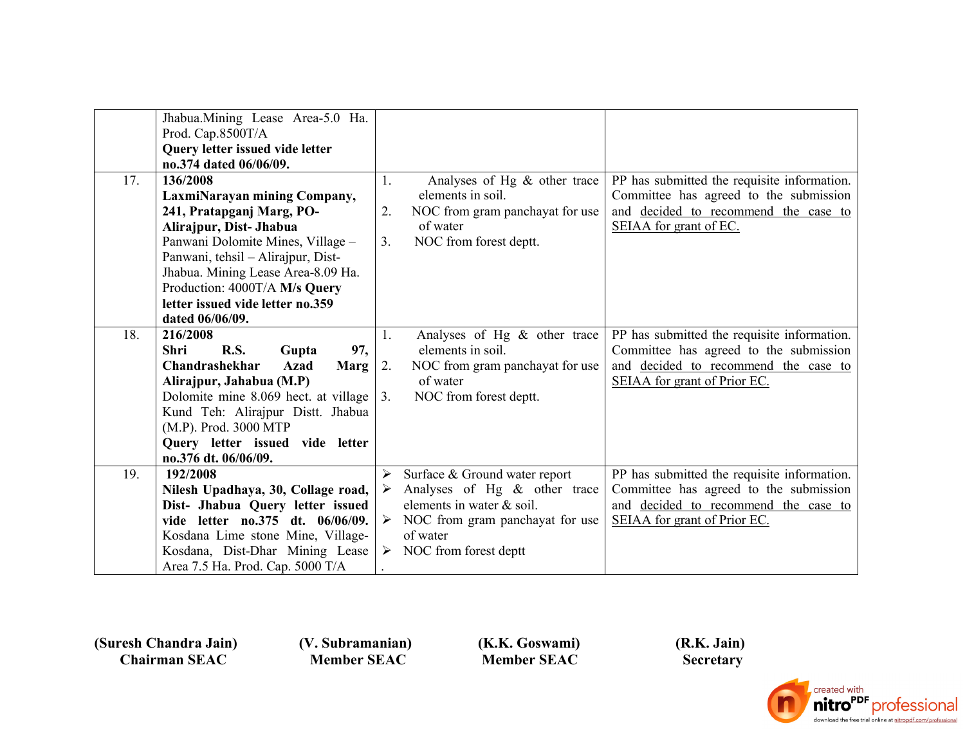|     | Jhabua.Mining Lease Area-5.0 Ha.<br>Prod. Cap.8500T/A                |        |                                                           |                                                                                |
|-----|----------------------------------------------------------------------|--------|-----------------------------------------------------------|--------------------------------------------------------------------------------|
|     | Query letter issued vide letter                                      |        |                                                           |                                                                                |
|     | no.374 dated 06/06/09.                                               |        |                                                           |                                                                                |
| 17. | 136/2008                                                             | 1.     | Analyses of Hg $\&$ other trace                           | PP has submitted the requisite information.                                    |
|     | LaxmiNarayan mining Company,                                         |        | elements in soil.                                         | Committee has agreed to the submission                                         |
|     | 241, Pratapganj Marg, PO-                                            | 2.     | NOC from gram panchayat for use                           | and decided to recommend the case to                                           |
|     | Alirajpur, Dist- Jhabua                                              |        | of water                                                  | SEIAA for grant of EC.                                                         |
|     | Panwani Dolomite Mines, Village -                                    | 3.     | NOC from forest deptt.                                    |                                                                                |
|     | Panwani, tehsil – Alirajpur, Dist-                                   |        |                                                           |                                                                                |
|     | Jhabua. Mining Lease Area-8.09 Ha.                                   |        |                                                           |                                                                                |
|     | Production: 4000T/A M/s Query                                        |        |                                                           |                                                                                |
|     | letter issued vide letter no.359                                     |        |                                                           |                                                                                |
|     | dated 06/06/09.                                                      |        |                                                           |                                                                                |
| 18. | 216/2008                                                             | 1.     | Analyses of Hg $\&$ other trace                           | PP has submitted the requisite information.                                    |
|     | 97,<br>R.S.<br><b>Shri</b><br>Gupta                                  |        | elements in soil.                                         | Committee has agreed to the submission                                         |
|     | Chandrashekhar<br><b>Marg</b><br>Azad                                | 2.     | NOC from gram panchayat for use                           | and decided to recommend the case to                                           |
|     | Alirajpur, Jahabua (M.P)                                             |        | of water                                                  | SEIAA for grant of Prior EC.                                                   |
|     | Dolomite mine 8.069 hect. at village                                 | 3.     | NOC from forest deptt.                                    |                                                                                |
|     | Kund Teh: Alirajpur Distt. Jhabua                                    |        |                                                           |                                                                                |
|     | (M.P). Prod. 3000 MTP                                                |        |                                                           |                                                                                |
|     | Query letter issued vide letter                                      |        |                                                           |                                                                                |
|     | no.376 dt. 06/06/09.                                                 |        |                                                           |                                                                                |
| 19. | 192/2008                                                             | ➤<br>➤ | Surface & Ground water report                             | PP has submitted the requisite information.                                    |
|     | Nilesh Upadhaya, 30, Collage road,                                   |        | Analyses of Hg & other trace<br>elements in water & soil. | Committee has agreed to the submission<br>and decided to recommend the case to |
|     | Dist- Jhabua Query letter issued<br>vide letter no.375 dt. 06/06/09. |        |                                                           | SEIAA for grant of Prior EC.                                                   |
|     | Kosdana Lime stone Mine, Village-                                    |        | NOC from gram panchayat for use<br>of water               |                                                                                |
|     |                                                                      |        |                                                           |                                                                                |
|     |                                                                      |        |                                                           |                                                                                |
|     | Kosdana, Dist-Dhar Mining Lease<br>Area 7.5 Ha. Prod. Cap. 5000 T/A  |        | $\triangleright$ NOC from forest deptt                    |                                                                                |

 **(V. Subramanian) Member SEAC**

 **(K.K. Goswami) Member SEAC**

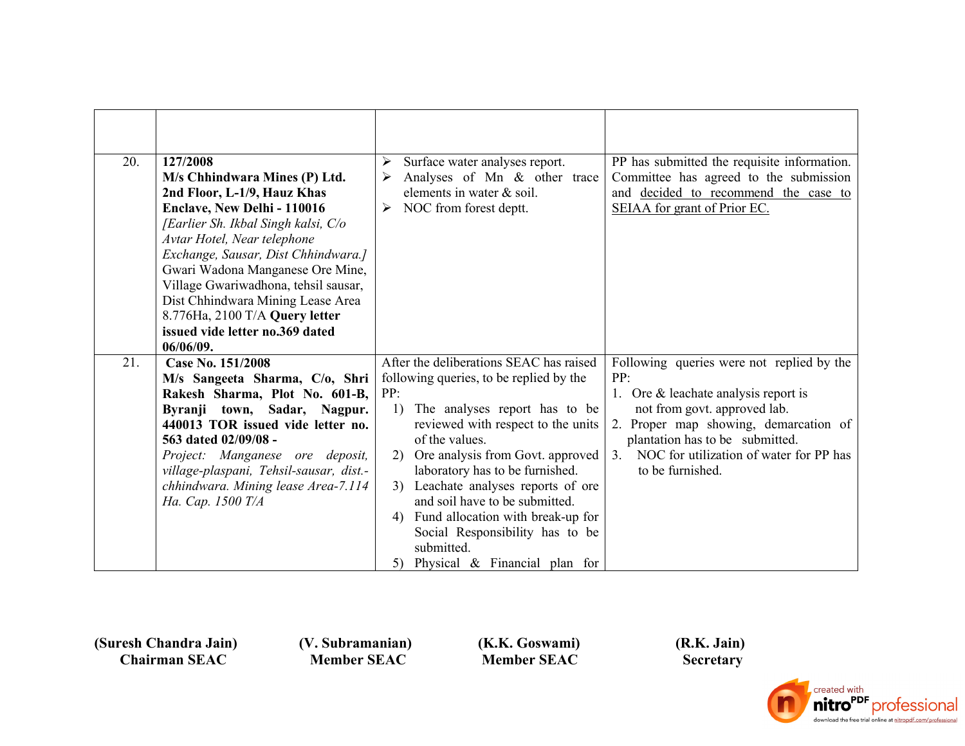| 20. | 127/2008<br>M/s Chhindwara Mines (P) Ltd.<br>2nd Floor, L-1/9, Hauz Khas<br>Enclave, New Delhi - 110016<br>[Earlier Sh. Ikbal Singh kalsi, C/o                                                                                                                                                                               | Surface water analyses report.<br>➤<br>Analyses of Mn & other trace<br>➤<br>elements in water & soil.<br>NOC from forest deptt.<br>➤                                                                                                                                                                                                                                                                                                                                                 | PP has submitted the requisite information.<br>Committee has agreed to the submission<br>and decided to recommend the case to<br>SEIAA for grant of Prior EC.                                                                                                               |
|-----|------------------------------------------------------------------------------------------------------------------------------------------------------------------------------------------------------------------------------------------------------------------------------------------------------------------------------|--------------------------------------------------------------------------------------------------------------------------------------------------------------------------------------------------------------------------------------------------------------------------------------------------------------------------------------------------------------------------------------------------------------------------------------------------------------------------------------|-----------------------------------------------------------------------------------------------------------------------------------------------------------------------------------------------------------------------------------------------------------------------------|
|     | Avtar Hotel, Near telephone<br>Exchange, Sausar, Dist Chhindwara.]<br>Gwari Wadona Manganese Ore Mine,<br>Village Gwariwadhona, tehsil sausar,<br>Dist Chhindwara Mining Lease Area<br>8.776Ha, 2100 T/A Query letter<br>issued vide letter no.369 dated<br>06/06/09.                                                        |                                                                                                                                                                                                                                                                                                                                                                                                                                                                                      |                                                                                                                                                                                                                                                                             |
| 21. | Case No. 151/2008<br>M/s Sangeeta Sharma, C/o, Shri<br>Rakesh Sharma, Plot No. 601-B,<br>Byranji town, Sadar, Nagpur.<br>440013 TOR issued vide letter no.<br>563 dated 02/09/08 -<br>Project: Manganese ore deposit,<br>village-plaspani, Tehsil-sausar, dist.-<br>chhindwara. Mining lease Area-7.114<br>Ha. Cap. 1500 T/A | After the deliberations SEAC has raised<br>following queries, to be replied by the<br>PP:<br>The analyses report has to be<br>1)<br>reviewed with respect to the units<br>of the values.<br>Ore analysis from Govt. approved<br>2)<br>laboratory has to be furnished.<br>Leachate analyses reports of ore<br>3)<br>and soil have to be submitted.<br>Fund allocation with break-up for<br>4)<br>Social Responsibility has to be<br>submitted.<br>Physical & Financial plan for<br>5) | Following queries were not replied by the<br>PP:<br>1. Ore $&$ leachate analysis report is<br>not from govt. approved lab.<br>2. Proper map showing, demarcation of<br>plantation has to be submitted.<br>NOC for utilization of water for PP has<br>3.<br>to be furnished. |

 **(V. Subramanian) Member SEAC**

 **(K.K. Goswami) Member SEAC**

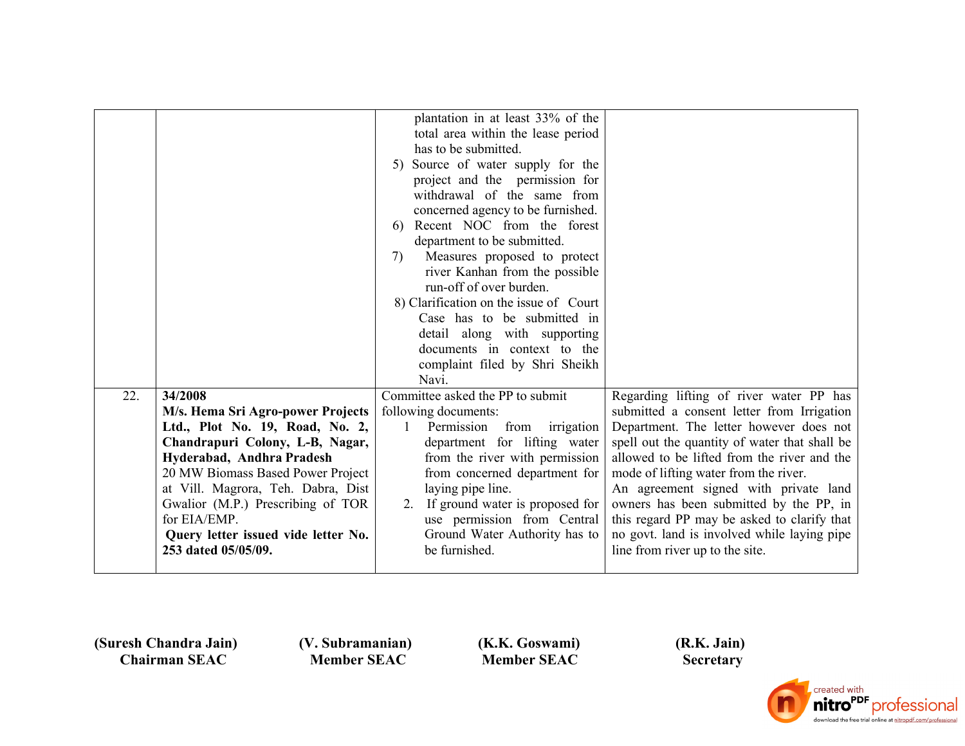|     |                                                                | plantation in at least 33% of the<br>total area within the lease period<br>has to be submitted.<br>5) Source of water supply for the<br>project and the permission for<br>withdrawal of the same from<br>concerned agency to be furnished.<br>6) Recent NOC from the forest<br>department to be submitted.<br>Measures proposed to protect<br>7)<br>river Kanhan from the possible<br>run-off of over burden.<br>8) Clarification on the issue of Court<br>Case has to be submitted in<br>detail along with supporting<br>documents in context to the<br>complaint filed by Shri Sheikh<br>Navi. |                                                                                              |
|-----|----------------------------------------------------------------|--------------------------------------------------------------------------------------------------------------------------------------------------------------------------------------------------------------------------------------------------------------------------------------------------------------------------------------------------------------------------------------------------------------------------------------------------------------------------------------------------------------------------------------------------------------------------------------------------|----------------------------------------------------------------------------------------------|
| 22. | 34/2008                                                        | Committee asked the PP to submit                                                                                                                                                                                                                                                                                                                                                                                                                                                                                                                                                                 | Regarding lifting of river water PP has                                                      |
|     | M/s. Hema Sri Agro-power Projects                              | following documents:                                                                                                                                                                                                                                                                                                                                                                                                                                                                                                                                                                             | submitted a consent letter from Irrigation                                                   |
|     | Ltd., Plot No. 19, Road, No. 2,                                | Permission<br>from<br>irrigation<br>$\mathbf{1}$                                                                                                                                                                                                                                                                                                                                                                                                                                                                                                                                                 | Department. The letter however does not                                                      |
|     | Chandrapuri Colony, L-B, Nagar,                                | department for lifting water<br>from the river with permission                                                                                                                                                                                                                                                                                                                                                                                                                                                                                                                                   | spell out the quantity of water that shall be<br>allowed to be lifted from the river and the |
|     | Hyderabad, Andhra Pradesh<br>20 MW Biomass Based Power Project | from concerned department for                                                                                                                                                                                                                                                                                                                                                                                                                                                                                                                                                                    | mode of lifting water from the river.                                                        |
|     | at Vill. Magrora, Teh. Dabra, Dist                             | laying pipe line.                                                                                                                                                                                                                                                                                                                                                                                                                                                                                                                                                                                | An agreement signed with private land                                                        |
|     | Gwalior (M.P.) Prescribing of TOR                              | 2. If ground water is proposed for                                                                                                                                                                                                                                                                                                                                                                                                                                                                                                                                                               | owners has been submitted by the PP, in                                                      |
|     | for EIA/EMP.                                                   | use permission from Central                                                                                                                                                                                                                                                                                                                                                                                                                                                                                                                                                                      | this regard PP may be asked to clarify that                                                  |
|     | Query letter issued vide letter No.                            | Ground Water Authority has to                                                                                                                                                                                                                                                                                                                                                                                                                                                                                                                                                                    | no govt. land is involved while laying pipe                                                  |
|     | 253 dated 05/05/09.                                            | be furnished.                                                                                                                                                                                                                                                                                                                                                                                                                                                                                                                                                                                    | line from river up to the site.                                                              |
|     |                                                                |                                                                                                                                                                                                                                                                                                                                                                                                                                                                                                                                                                                                  |                                                                                              |

 **(V. Subramanian) Member SEAC**

 **(K.K. Goswami) Member SEAC**

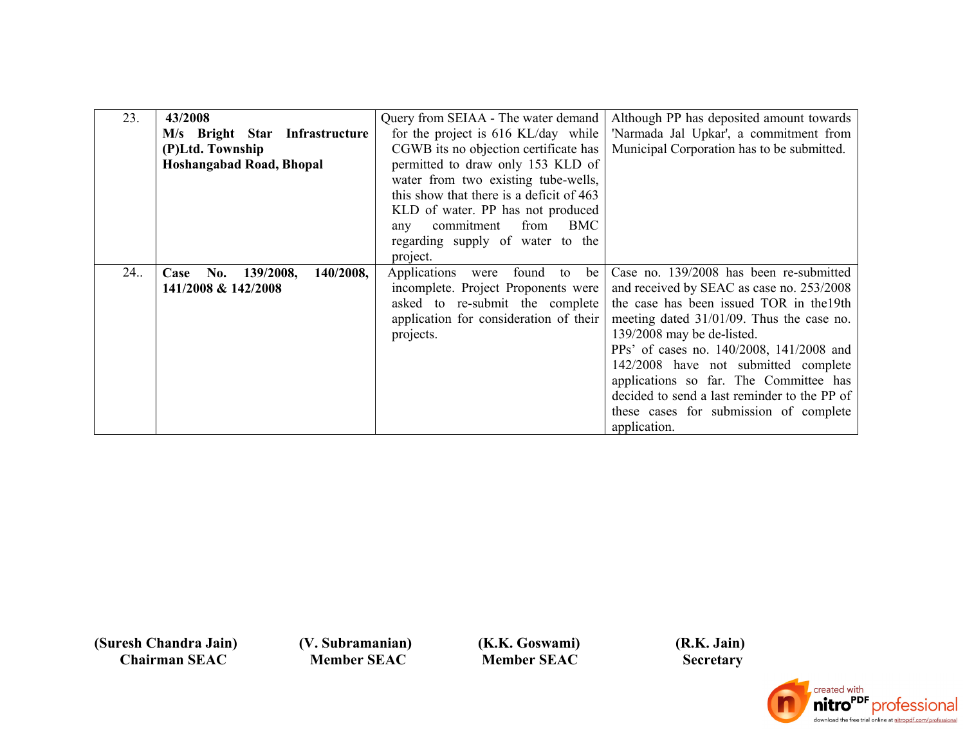| 23. | 43/2008                               | Query from SEIAA - The water demand       | Although PP has deposited amount towards     |
|-----|---------------------------------------|-------------------------------------------|----------------------------------------------|
|     | M/s Bright Star Infrastructure        | for the project is 616 KL/day while       | 'Narmada Jal Upkar', a commitment from       |
|     | (P)Ltd. Township                      | CGWB its no objection certificate has     | Municipal Corporation has to be submitted.   |
|     | <b>Hoshangabad Road, Bhopal</b>       | permitted to draw only 153 KLD of         |                                              |
|     |                                       | water from two existing tube-wells,       |                                              |
|     |                                       | this show that there is a deficit of 463  |                                              |
|     |                                       | KLD of water. PP has not produced         |                                              |
|     |                                       | from<br>BMC<br>commitment                 |                                              |
|     |                                       | any                                       |                                              |
|     |                                       | regarding supply of water to the          |                                              |
|     |                                       | project.                                  |                                              |
| 24. | 140/2008,<br>No.<br>139/2008,<br>Case | Applications<br>found<br>be<br>were<br>to | Case no. 139/2008 has been re-submitted      |
|     | 141/2008 & 142/2008                   | incomplete. Project Proponents were       | and received by SEAC as case no. 253/2008    |
|     |                                       | asked to re-submit the complete           | the case has been issued TOR in the 19th     |
|     |                                       | application for consideration of their    | meeting dated $31/01/09$ . Thus the case no. |
|     |                                       | projects.                                 | 139/2008 may be de-listed.                   |
|     |                                       |                                           | PPs' of cases no. 140/2008, 141/2008 and     |
|     |                                       |                                           | 142/2008 have not submitted complete         |
|     |                                       |                                           | applications so far. The Committee has       |
|     |                                       |                                           | decided to send a last reminder to the PP of |
|     |                                       |                                           | these cases for submission of complete       |
|     |                                       |                                           | application.                                 |

 **(V. Subramanian) Member SEAC**

 **(K.K. Goswami) Member SEAC**